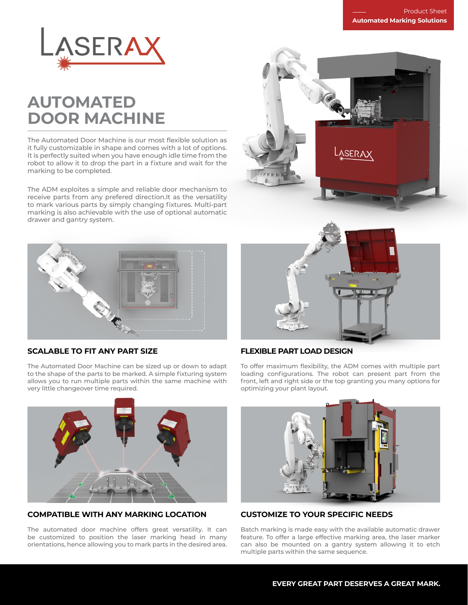

# **AUTOMATED DOOR MACHINE**

The Automated Door Machine is our most flexible solution as it fully customizable in shape and comes with a lot of options. It is perfectly suited when you have enough idle time from the robot to allow it to drop the part in a fixture and wait for the marking to be completed.

The ADM exploites a simple and reliable door mechanism to receive parts from any prefered direction.It as the versatility to mark various parts by simply changing fixtures. Multi-part marking is also achievable with the use of optional automatic drawer and gantry system.





# **SCALABLE TO FIT ANY PART SIZE**

The Automated Door Machine can be sized up or down to adapt to the shape of the parts to be marked. A simple fixturing system allows you to run multiple parts within the same machine with very little changeover time required.



# **FLEXIBLE PART LOAD DESIGN**

To offer maximum flexibility, the ADM comes with multiple part loading configurations. The robot can present part from the front, left and right side or the top granting you many options for optimizing your plant layout.



# **COMPATIBLE WITH ANY MARKING LOCATION**

The automated door machine offers great versatility. It can be customized to position the laser marking head in many orientations, hence allowing you to mark parts in the desired area.



# **CUSTOMIZE TO YOUR SPECIFIC NEEDS**

Batch marking is made easy with the available automatic drawer feature. To offer a large effective marking area, the laser marker can also be mounted on a gantry system allowing it to etch multiple parts within the same sequence.